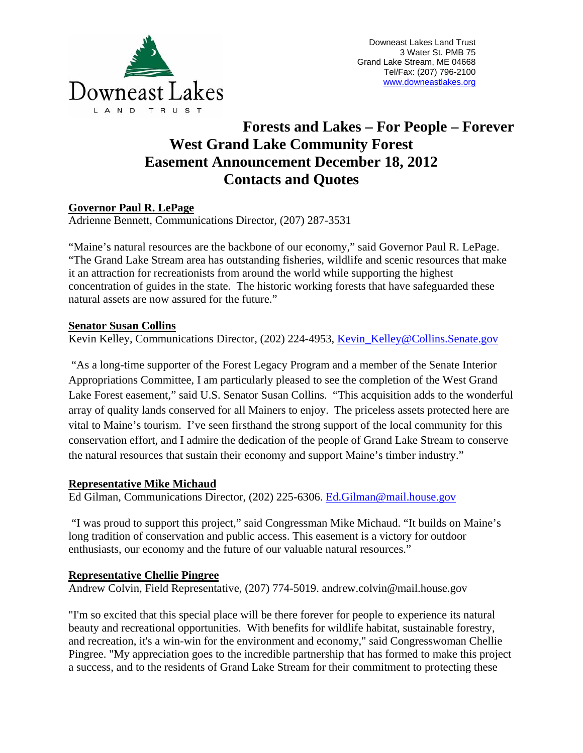

# **Forests and Lakes – For People – Forever West Grand Lake Community Forest Easement Announcement December 18, 2012 Contacts and Quotes**

## **Governor Paul R. LePage**

Adrienne Bennett, Communications Director, (207) 287-3531

"Maine's natural resources are the backbone of our economy," said Governor Paul R. LePage. "The Grand Lake Stream area has outstanding fisheries, wildlife and scenic resources that make it an attraction for recreationists from around the world while supporting the highest concentration of guides in the state. The historic working forests that have safeguarded these natural assets are now assured for the future."

## **Senator Susan Collins**

Kevin Kelley, Communications Director, (202) 224-4953, Kevin Kelley@Collins.Senate.gov

 "As a long-time supporter of the Forest Legacy Program and a member of the Senate Interior Appropriations Committee, I am particularly pleased to see the completion of the West Grand Lake Forest easement," said U.S. Senator Susan Collins. "This acquisition adds to the wonderful array of quality lands conserved for all Mainers to enjoy. The priceless assets protected here are vital to Maine's tourism. I've seen firsthand the strong support of the local community for this conservation effort, and I admire the dedication of the people of Grand Lake Stream to conserve the natural resources that sustain their economy and support Maine's timber industry."

## **Representative Mike Michaud**

Ed Gilman, Communications Director, (202) 225-6306. Ed.Gilman@mail.house.gov

 "I was proud to support this project," said Congressman Mike Michaud. "It builds on Maine's long tradition of conservation and public access. This easement is a victory for outdoor enthusiasts, our economy and the future of our valuable natural resources."

## **Representative Chellie Pingree**

Andrew Colvin, Field Representative, (207) 774-5019. andrew.colvin@mail.house.gov

"I'm so excited that this special place will be there forever for people to experience its natural beauty and recreational opportunities. With benefits for wildlife habitat, sustainable forestry, and recreation, it's a win-win for the environment and economy," said Congresswoman Chellie Pingree. "My appreciation goes to the incredible partnership that has formed to make this project a success, and to the residents of Grand Lake Stream for their commitment to protecting these